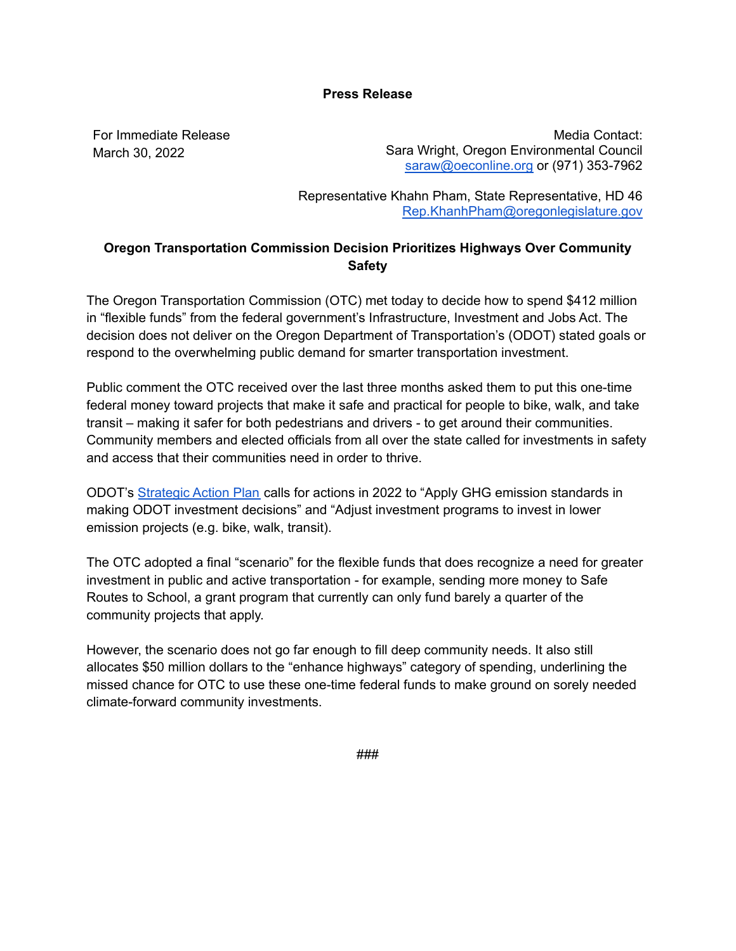## **Press Release**

For Immediate Release March 30, 2022

Media Contact: Sara Wright, Oregon Environmental Council [saraw@oeconline.org](mailto:saraw@oeconline.org) or (971) 353-7962

Representative Khahn Pham, State Representative, HD 46 [Rep.KhanhPham@oregonlegislature.gov](mailto:Rep.KhanhPham@oregonlegislature.gov)

## **Oregon Transportation Commission Decision Prioritizes Highways Over Community Safety**

The Oregon Transportation Commission (OTC) met today to decide how to spend \$412 million in "flexible funds" from the federal government's Infrastructure, Investment and Jobs Act. The decision does not deliver on the Oregon Department of Transportation's (ODOT) stated goals or respond to the overwhelming public demand for smarter transportation investment.

Public comment the OTC received over the last three months asked them to put this one-time federal money toward projects that make it safe and practical for people to bike, walk, and take transit – making it safer for both pedestrians and drivers - to get around their communities. Community members and elected officials from all over the state called for investments in safety and access that their communities need in order to thrive.

ODOT's [Strategic](https://www.oregon.gov/odot/Pages/SAP.aspx) Action Plan calls for actions in 2022 to "Apply GHG emission standards in making ODOT investment decisions" and "Adjust investment programs to invest in lower emission projects (e.g. bike, walk, transit).

The OTC adopted a final "scenario" for the flexible funds that does recognize a need for greater investment in public and active transportation - for example, sending more money to Safe Routes to School, a grant program that currently can only fund barely a quarter of the community projects that apply.

However, the scenario does not go far enough to fill deep community needs. It also still allocates \$50 million dollars to the "enhance highways" category of spending, underlining the missed chance for OTC to use these one-time federal funds to make ground on sorely needed climate-forward community investments.

###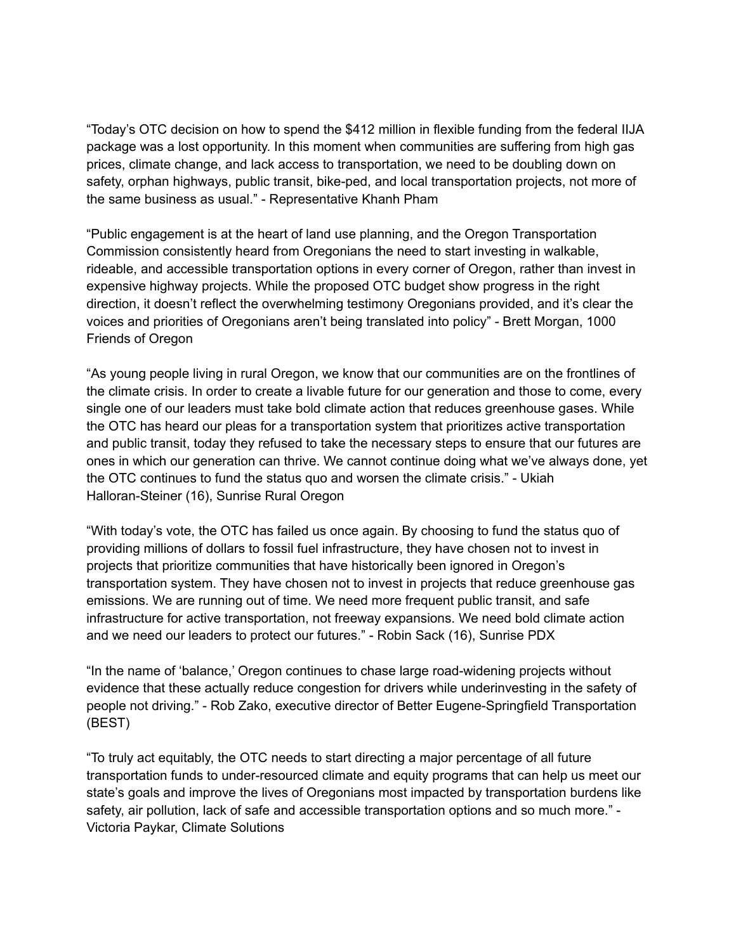"Today's OTC decision on how to spend the \$412 million in flexible funding from the federal IIJA package was a lost opportunity. In this moment when communities are suffering from high gas prices, climate change, and lack access to transportation, we need to be doubling down on safety, orphan highways, public transit, bike-ped, and local transportation projects, not more of the same business as usual." - Representative Khanh Pham

"Public engagement is at the heart of land use planning, and the Oregon Transportation Commission consistently heard from Oregonians the need to start investing in walkable, rideable, and accessible transportation options in every corner of Oregon, rather than invest in expensive highway projects. While the proposed OTC budget show progress in the right direction, it doesn't reflect the overwhelming testimony Oregonians provided, and it's clear the voices and priorities of Oregonians aren't being translated into policy" - Brett Morgan, 1000 Friends of Oregon

"As young people living in rural Oregon, we know that our communities are on the frontlines of the climate crisis. In order to create a livable future for our generation and those to come, every single one of our leaders must take bold climate action that reduces greenhouse gases. While the OTC has heard our pleas for a transportation system that prioritizes active transportation and public transit, today they refused to take the necessary steps to ensure that our futures are ones in which our generation can thrive. We cannot continue doing what we've always done, yet the OTC continues to fund the status quo and worsen the climate crisis." - Ukiah Halloran-Steiner (16), Sunrise Rural Oregon

"With today's vote, the OTC has failed us once again. By choosing to fund the status quo of providing millions of dollars to fossil fuel infrastructure, they have chosen not to invest in projects that prioritize communities that have historically been ignored in Oregon's transportation system. They have chosen not to invest in projects that reduce greenhouse gas emissions. We are running out of time. We need more frequent public transit, and safe infrastructure for active transportation, not freeway expansions. We need bold climate action and we need our leaders to protect our futures." - Robin Sack (16), Sunrise PDX

"In the name of 'balance,' Oregon continues to chase large road-widening projects without evidence that these actually reduce congestion for drivers while underinvesting in the safety of people not driving." - Rob Zako, executive director of Better Eugene-Springfield Transportation (BEST)

"To truly act equitably, the OTC needs to start directing a major percentage of all future transportation funds to under-resourced climate and equity programs that can help us meet our state's goals and improve the lives of Oregonians most impacted by transportation burdens like safety, air pollution, lack of safe and accessible transportation options and so much more." - Victoria Paykar, Climate Solutions